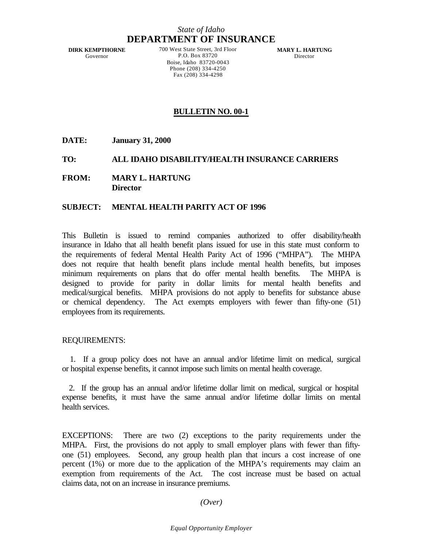# *State of Idaho* **DEPARTMENT OF INSURANCE**

**DIRK KEMPTHORNE** Governor

700 West State Street, 3rd Floor P.O. Box 83720 Boise, Idaho 83720-0043 Phone (208) 334-4250 Fax (208) 334-4298

**MARY L. HARTUNG** Director

# **BULLETIN NO. 00-1**

**DATE: January 31, 2000**

## **TO: ALL IDAHO DISABILITY/HEALTH INSURANCE CARRIERS**

**FROM: MARY L. HARTUNG Director**

## **SUBJECT: MENTAL HEALTH PARITY ACT OF 1996**

This Bulletin is issued to remind companies authorized to offer disability/health insurance in Idaho that all health benefit plans issued for use in this state must conform to the requirements of federal Mental Health Parity Act of 1996 ("MHPA"). The MHPA does not require that health benefit plans include mental health benefits, but imposes minimum requirements on plans that do offer mental health benefits. The MHPA is designed to provide for parity in dollar limits for mental health benefits and medical/surgical benefits. MHPA provisions do not apply to benefits for substance abuse or chemical dependency. The Act exempts employers with fewer than fifty-one (51) employees from its requirements.

#### REQUIREMENTS:

 1. If a group policy does not have an annual and/or lifetime limit on medical, surgical or hospital expense benefits, it cannot impose such limits on mental health coverage.

 2. If the group has an annual and/or lifetime dollar limit on medical, surgical or hospital expense benefits, it must have the same annual and/or lifetime dollar limits on mental health services.

EXCEPTIONS: There are two (2) exceptions to the parity requirements under the MHPA. First, the provisions do not apply to small employer plans with fewer than fiftyone (51) employees. Second, any group health plan that incurs a cost increase of one percent (1%) or more due to the application of the MHPA's requirements may claim an exemption from requirements of the Act. The cost increase must be based on actual claims data, not on an increase in insurance premiums.

### *(Over)*

#### *Equal Opportunity Employer*